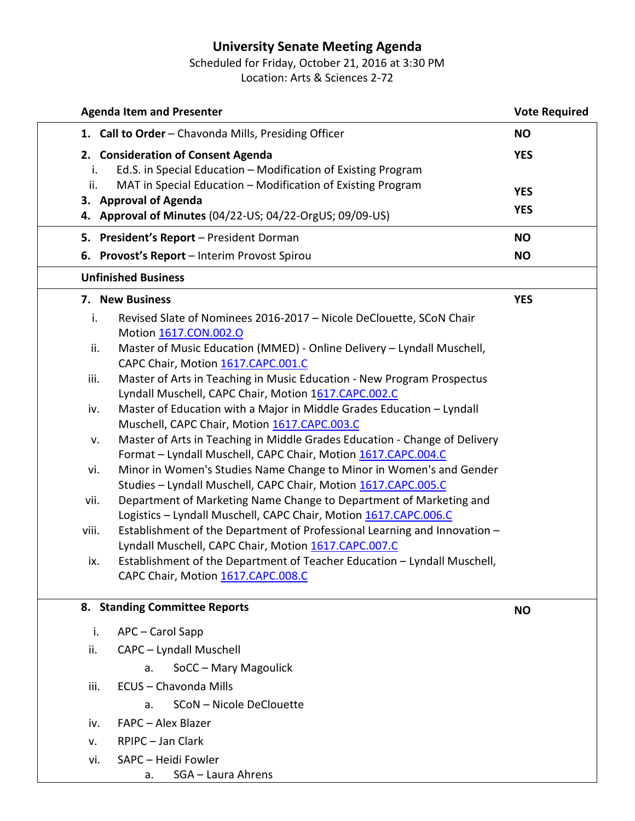## **University Senate Meeting Agenda**

Scheduled for Friday, October 21, 2016 at 3:30 PM Location: Arts & Sciences 2-72

| <b>Agenda Item and Presenter</b>                                                                                             | <b>Vote Required</b> |
|------------------------------------------------------------------------------------------------------------------------------|----------------------|
| 1. Call to Order - Chavonda Mills, Presiding Officer                                                                         | <b>NO</b>            |
| 2. Consideration of Consent Agenda                                                                                           | <b>YES</b>           |
| Ed.S. in Special Education - Modification of Existing Program<br>i.                                                          |                      |
| MAT in Special Education - Modification of Existing Program<br>ii.                                                           | <b>YES</b>           |
| 3. Approval of Agenda                                                                                                        | <b>YES</b>           |
| 4. Approval of Minutes (04/22-US; 04/22-OrgUS; 09/09-US)                                                                     |                      |
| 5. President's Report - President Dorman                                                                                     | <b>NO</b>            |
| 6. Provost's Report - Interim Provost Spirou                                                                                 | <b>NO</b>            |
| <b>Unfinished Business</b>                                                                                                   |                      |
| 7. New Business                                                                                                              | <b>YES</b>           |
| Revised Slate of Nominees 2016-2017 - Nicole DeClouette, SCoN Chair<br>i.                                                    |                      |
| Motion 1617.CON.002.O                                                                                                        |                      |
| Master of Music Education (MMED) - Online Delivery - Lyndall Muschell,<br>ii.                                                |                      |
| CAPC Chair, Motion 1617.CAPC.001.C                                                                                           |                      |
| Master of Arts in Teaching in Music Education - New Program Prospectus<br>iii.                                               |                      |
| Lyndall Muschell, CAPC Chair, Motion 1617.CAPC.002.C                                                                         |                      |
| Master of Education with a Major in Middle Grades Education - Lyndall<br>iv.<br>Muschell, CAPC Chair, Motion 1617.CAPC.003.C |                      |
| Master of Arts in Teaching in Middle Grades Education - Change of Delivery<br>v.                                             |                      |
| Format - Lyndall Muschell, CAPC Chair, Motion 1617.CAPC.004.C                                                                |                      |
| Minor in Women's Studies Name Change to Minor in Women's and Gender<br>vi.                                                   |                      |
| Studies - Lyndall Muschell, CAPC Chair, Motion 1617.CAPC.005.C                                                               |                      |
| Department of Marketing Name Change to Department of Marketing and<br>vii.                                                   |                      |
| Logistics - Lyndall Muschell, CAPC Chair, Motion 1617.CAPC.006.C                                                             |                      |
| Establishment of the Department of Professional Learning and Innovation -<br>viii.                                           |                      |
| Lyndall Muschell, CAPC Chair, Motion 1617.CAPC.007.C                                                                         |                      |
| Establishment of the Department of Teacher Education - Lyndall Muschell,<br>ix.                                              |                      |
| CAPC Chair, Motion 1617.CAPC.008.C                                                                                           |                      |
| 8. Standing Committee Reports                                                                                                | <b>NO</b>            |
|                                                                                                                              |                      |
| APC - Carol Sapp<br>i.                                                                                                       |                      |
| ii.<br>CAPC - Lyndall Muschell                                                                                               |                      |
| SoCC - Mary Magoulick<br>a.                                                                                                  |                      |
| iii.<br>ECUS - Chavonda Mills                                                                                                |                      |
| SCoN - Nicole DeClouette<br>a.                                                                                               |                      |
| FAPC - Alex Blazer<br>iv.                                                                                                    |                      |
| RPIPC - Jan Clark<br>v.                                                                                                      |                      |
| SAPC - Heidi Fowler<br>vi.                                                                                                   |                      |
| SGA - Laura Ahrens<br>a.                                                                                                     |                      |